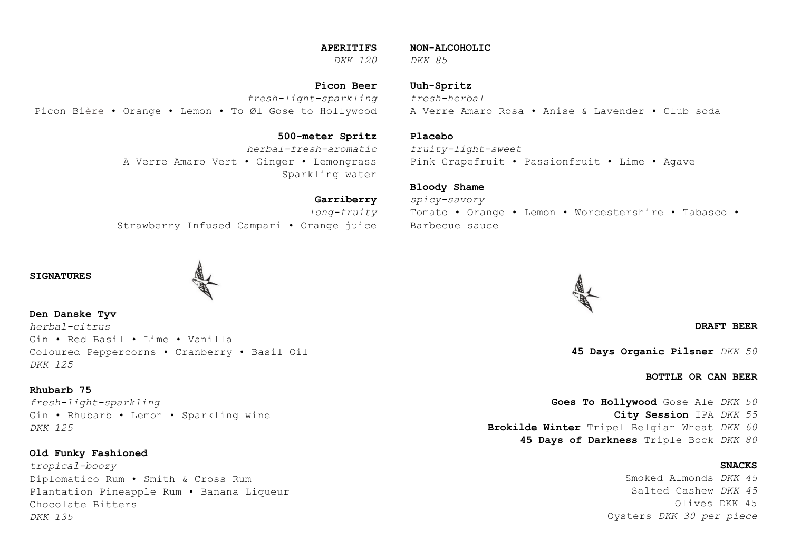### **APERITIFS**

*DKK 120 DKK 85*

**Picon Beer** *fresh-light-sparkling* Picon Bière • Orange • Lemon • To Øl Gose to Hollywood

> **500-meter Spritz** *herbal-fresh-aromatic* A Verre Amaro Vert • Ginger • Lemongrass Sparkling water

**Garriberry** *long-fruity* Strawberry Infused Campari • Orange juice

### **SIGNATURES**

**Den Danske Tyv** *herbal-citrus* Gin • Red Basil • Lime • Vanilla Coloured Peppercorns • Cranberry • Basil Oil *DKK 125*

# **Rhubarb 75**

*fresh-light-sparkling* Gin • Rhubarb • Lemon • Sparkling wine *DKK 125*

**Old Funky Fashioned**

*tropical-boozy* Diplomatico Rum • Smith & Cross Rum Plantation Pineapple Rum • Banana Liqueur Chocolate Bitters *DKK 135*

**Uuh-Spritz** *fresh-herbal* A Verre Amaro Rosa • Anise & Lavender • Club soda

### **Placebo**

*fruity-light-sweet* Pink Grapefruit • Passionfruit • Lime • Agave

#### **Bloody Shame**

**NON-ALCOHOLIC**

*spicy-savory* Tomato • Orange • Lemon • Worcestershire • Tabasco • Barbecue sauce

**DRAFT BEER**

**45 Days Organic Pilsner** *DKK 50*

**BOTTLE OR CAN BEER**

**Goes To Hollywood** Gose Ale *DKK 50* **City Session** IPA *DKK 55* **Brokilde Winter** Tripel Belgian Wheat *DKK 60* **45 Days of Darkness** Triple Bock *DKK 80*

### **SNACKS**

Smoked Almonds *DKK 45* Salted Cashew *DKK 45* Olives DKK 45 Oysters *DKK 30 per piece*